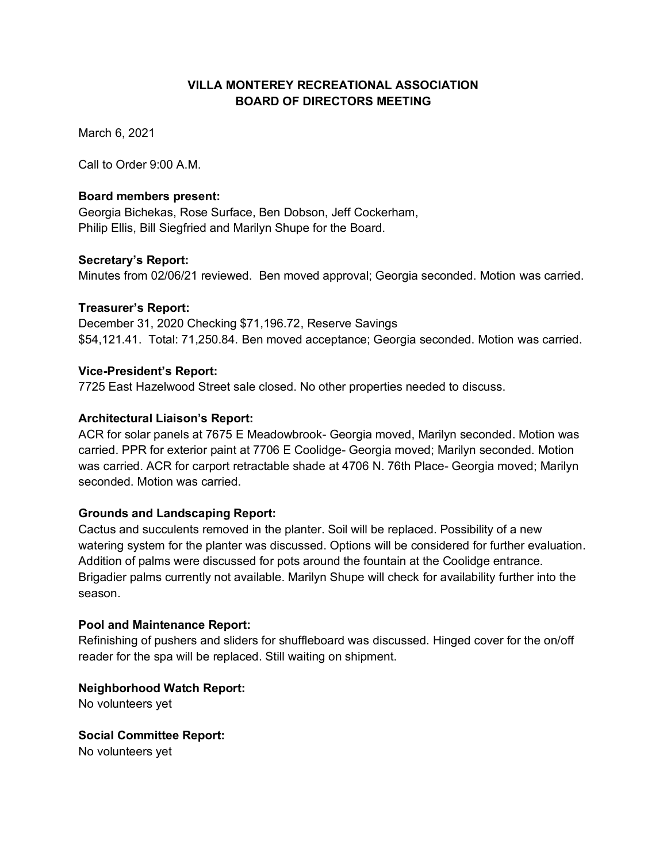# **VILLA MONTEREY RECREATIONAL ASSOCIATION BOARD OF DIRECTORS MEETING**

March 6, 2021

Call to Order 9:00 A.M.

## **Board members present:**

Georgia Bichekas, Rose Surface, Ben Dobson, Jeff Cockerham, Philip Ellis, Bill Siegfried and Marilyn Shupe for the Board.

## **Secretary's Report:**

Minutes from 02/06/21 reviewed. Ben moved approval; Georgia seconded. Motion was carried.

## **Treasurer's Report:**

December 31, 2020 Checking \$71,196.72, Reserve Savings \$54,121.41. Total: 71,250.84. Ben moved acceptance; Georgia seconded. Motion was carried.

## **Vice-President's Report:**

7725 East Hazelwood Street sale closed. No other properties needed to discuss.

## **Architectural Liaison's Report:**

ACR for solar panels at 7675 E Meadowbrook- Georgia moved, Marilyn seconded. Motion was carried. PPR for exterior paint at 7706 E Coolidge- Georgia moved; Marilyn seconded. Motion was carried. ACR for carport retractable shade at 4706 N. 76th Place- Georgia moved; Marilyn seconded. Motion was carried.

# **Grounds and Landscaping Report:**

Cactus and succulents removed in the planter. Soil will be replaced. Possibility of a new watering system for the planter was discussed. Options will be considered for further evaluation. Addition of palms were discussed for pots around the fountain at the Coolidge entrance. Brigadier palms currently not available. Marilyn Shupe will check for availability further into the season.

## **Pool and Maintenance Report:**

Refinishing of pushers and sliders for shuffleboard was discussed. Hinged cover for the on/off reader for the spa will be replaced. Still waiting on shipment.

**Neighborhood Watch Report:** 

No volunteers yet

**Social Committee Report:**  No volunteers yet